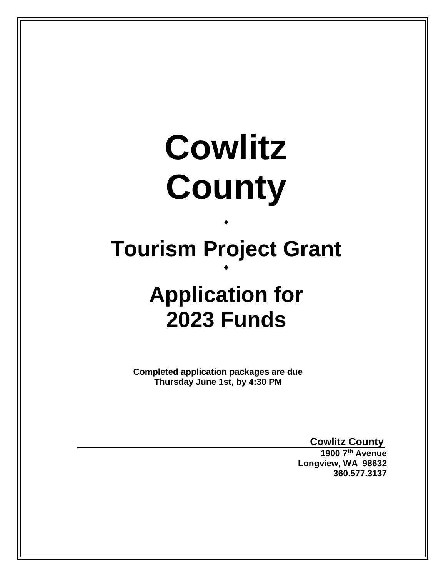# **Cowlitz County**

## **Tourism Project Grant**  $\blacklozenge$

 $\blacklozenge$ 

## **Application for 2023 Funds**

**Completed application packages are due Thursday June 1st, by 4:30 PM**

**Cowlitz County**

**1900 7th Avenue Longview, WA 98632 360.577.3137**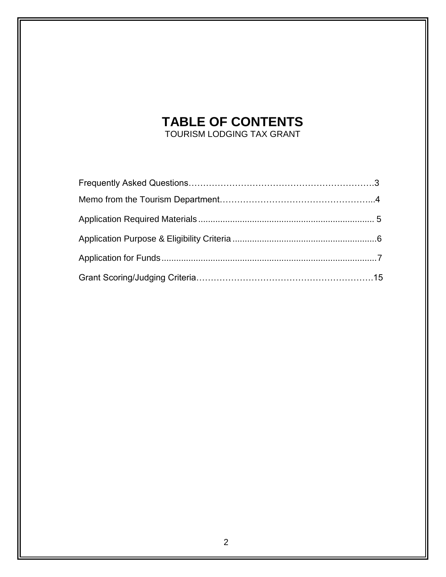## **TABLE OF CONTENTS**

TOURISM LODGING TAX GRANT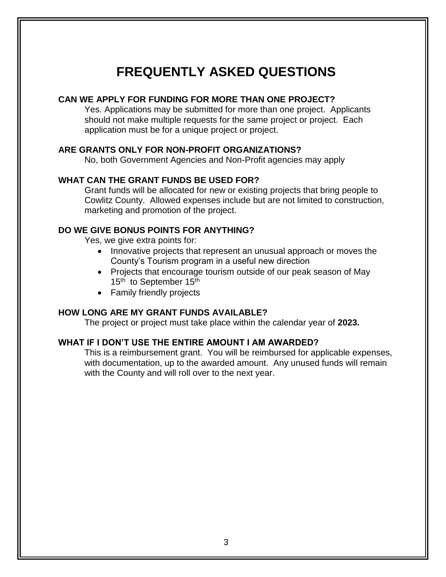### **FREQUENTLY ASKED QUESTIONS**

#### **CAN WE APPLY FOR FUNDING FOR MORE THAN ONE PROJECT?**

Yes. Applications may be submitted for more than one project. Applicants should not make multiple requests for the same project or project. Each application must be for a unique project or project.

#### **ARE GRANTS ONLY FOR NON-PROFIT ORGANIZATIONS?**

No, both Government Agencies and Non-Profit agencies may apply

#### **WHAT CAN THE GRANT FUNDS BE USED FOR?**

Grant funds will be allocated for new or existing projects that bring people to Cowlitz County. Allowed expenses include but are not limited to construction, marketing and promotion of the project.

#### **DO WE GIVE BONUS POINTS FOR ANYTHING?**

Yes, we give extra points for:

- Innovative projects that represent an unusual approach or moves the County's Tourism program in a useful new direction
- Projects that encourage tourism outside of our peak season of May 15<sup>th</sup> to September  $15<sup>th</sup>$
- Family friendly projects

#### **HOW LONG ARE MY GRANT FUNDS AVAILABLE?**

The project or project must take place within the calendar year of **2023.**

#### **WHAT IF I DON'T USE THE ENTIRE AMOUNT I AM AWARDED?**

This is a reimbursement grant. You will be reimbursed for applicable expenses, with documentation, up to the awarded amount. Any unused funds will remain with the County and will roll over to the next year.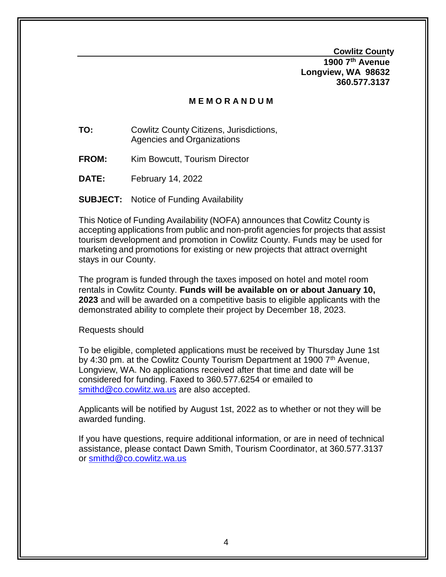**Cowlitz County**

**1900 7th Avenue Longview, WA 98632 360.577.3137**

#### **M E M O R A N D U M**

**TO:** Cowlitz County Citizens, Jurisdictions, Agencies and Organizations

- **FROM:** Kim Bowcutt, Tourism Director
- **DATE:** February 14, 2022

**SUBJECT:** Notice of Funding Availability

This Notice of Funding Availability (NOFA) announces that Cowlitz County is accepting applications from public and non-profit agencies for projects that assist tourism development and promotion in Cowlitz County. Funds may be used for marketing and promotions for existing or new projects that attract overnight stays in our County.

The program is funded through the taxes imposed on hotel and motel room rentals in Cowlitz County. **Funds will be available on or about January 10, 2023** and will be awarded on a competitive basis to eligible applicants with the demonstrated ability to complete their project by December 18, 2023.

Requests should

To be eligible, completed applications must be received by Thursday June 1st by 4:30 pm. at the Cowlitz County Tourism Department at 1900 7<sup>th</sup> Avenue, Longview, WA. No applications received after that time and date will be considered for funding. Faxed to 360.577.6254 or emailed to [smithd@co.cowlitz.wa.us](mailto:smithd@co.cowlitz.wa.us) are also accepted.

Applicants will be notified by August 1st, 2022 as to whether or not they will be awarded funding.

If you have questions, require additional information, or are in need of technical assistance, please contact Dawn Smith, Tourism Coordinator, at 360.577.3137 or [smithd@co.cowlitz.wa.us](mailto:smithd@co.cowlitz.wa.us)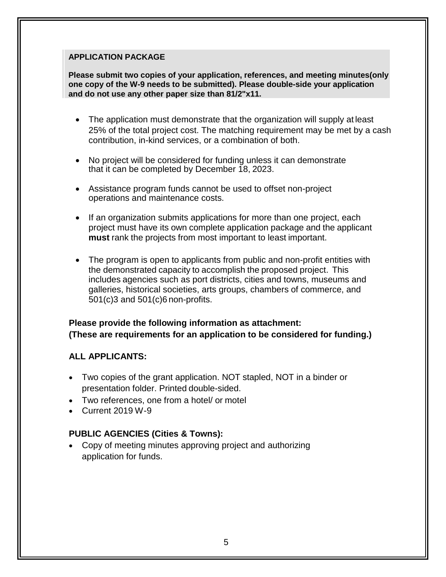#### **APPLICATION PACKAGE**

**and do not use any other paper size than 81/2"x11. one copy of the W-9 needs to be submitted). Please double-side your application Please submit two copies of your application, references, and meeting minutes(only** 

- The application must demonstrate that the organization will supply at least 25% of the total project cost. The matching requirement may be met by a cash contribution, in-kind services, or a combination of both.
- No project will be considered for funding unless it can demonstrate that it can be completed by December 18, 2023.
- Assistance program funds cannot be used to offset non-project operations and maintenance costs.
- If an organization submits applications for more than one project, each project must have its own complete application package and the applicant **must** rank the projects from most important to least important.
- The program is open to applicants from public and non-profit entities with the demonstrated capacity to accomplish the proposed project. This includes agencies such as port districts, cities and towns, museums and galleries, historical societies, arts groups, chambers of commerce, and 501(c)3 and 501(c)6 non-profits.

#### **Please provide the following information as attachment: (These are requirements for an application to be considered for funding.)**

#### **ALL APPLICANTS:**

- Two copies of the grant application. NOT stapled, NOT in a binder or presentation folder. Printed double-sided.
- Two references, one from a hotel/ or motel
- Current 2019 W-9

#### **PUBLIC AGENCIES (Cities & Towns):**

 Copy of meeting minutes approving project and authorizing application for funds.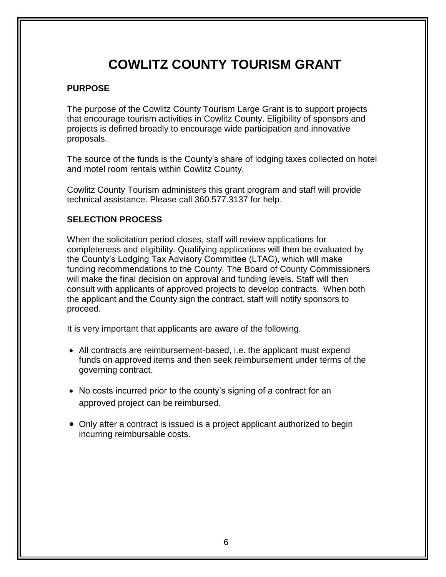## **COWLITZ COUNTY TOURISM GRANT**

#### **PURPOSE**

The purpose of the Cowlitz County Tourism Large Grant is to support projects that encourage tourism activities in Cowlitz County. Eligibility of sponsors and projects is defined broadly to encourage wide participation and innovative proposals.

The source of the funds is the County's share of lodging taxes collected on hotel and motel room rentals within Cowlitz County.

Cowlitz County Tourism administers this grant program and staff will provide technical assistance. Please call 360.577.3137 for help.

#### **SELECTION PROCESS**

When the solicitation period closes, staff will review applications for completeness and eligibility. Qualifying applications will then be evaluated by the County's Lodging Tax Advisory Committee (LTAC), which will make funding recommendations to the County. The Board of County Commissioners will make the final decision on approval and funding levels. Staff will then consult with applicants of approved projects to develop contracts. When both the applicant and the County sign the contract, staff will notify sponsors to proceed.

It is very important that applicants are aware of the following.

- All contracts are reimbursement-based, i.e. the applicant must expend funds on approved items and then seek reimbursement under terms of the governing contract.
- No costs incurred prior to the county's signing of a contract for an approved project can be reimbursed.
- Only after a contract is issued is a project applicant authorized to begin incurring reimbursable costs.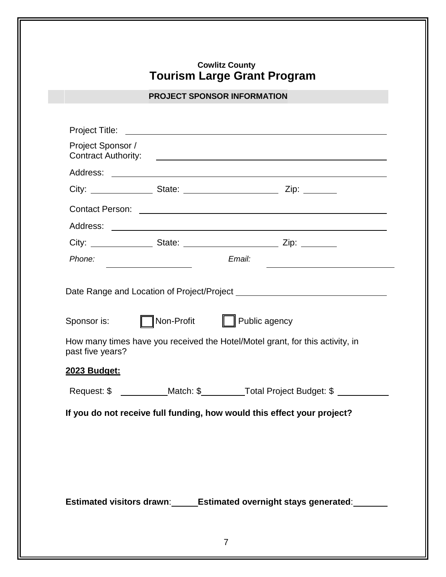#### **Cowlitz County Tourism Large Grant Program**

#### **PROJECT SPONSOR INFORMATION**

|        | City: _____________________State: __________________________________Zip: _________                                                                                                                                                                                                                                                                                                                                                                                                    |
|--------|---------------------------------------------------------------------------------------------------------------------------------------------------------------------------------------------------------------------------------------------------------------------------------------------------------------------------------------------------------------------------------------------------------------------------------------------------------------------------------------|
|        |                                                                                                                                                                                                                                                                                                                                                                                                                                                                                       |
|        |                                                                                                                                                                                                                                                                                                                                                                                                                                                                                       |
|        |                                                                                                                                                                                                                                                                                                                                                                                                                                                                                       |
| Email: | <u> 1989 - Andrea Station Books, amerikansk politiker (</u>                                                                                                                                                                                                                                                                                                                                                                                                                           |
|        |                                                                                                                                                                                                                                                                                                                                                                                                                                                                                       |
|        |                                                                                                                                                                                                                                                                                                                                                                                                                                                                                       |
|        |                                                                                                                                                                                                                                                                                                                                                                                                                                                                                       |
|        |                                                                                                                                                                                                                                                                                                                                                                                                                                                                                       |
|        | City: ______________________State: __________________________________Zip: _____________<br>Date Range and Location of Project/Project entertainment of the control of the Date of the Date of the Date of<br>Non-Profit   Public agency<br>How many times have you received the Hotel/Motel grant, for this activity, in<br>Request: \$ ____________Match: \$ __________Total Project Budget: \$ _________<br>If you do not receive full funding, how would this effect your project? |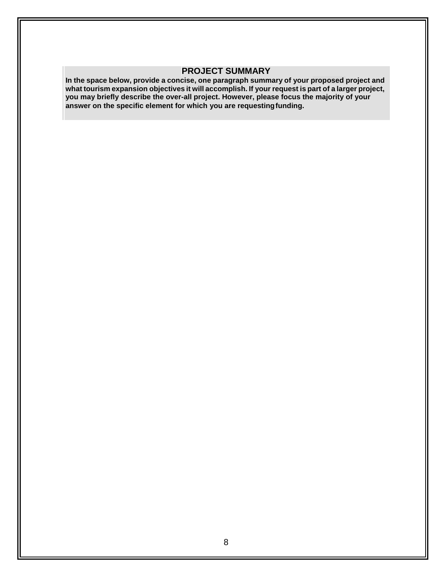#### **PROJECT SUMMARY**

**In the space below, provide a concise, one paragraph summary of your proposed project and what tourism expansion objectives it will accomplish. If your request is part of a larger project, you may briefly describe the over-all project. However, please focus the majority of your answer on the specific element for which you are requestingfunding.**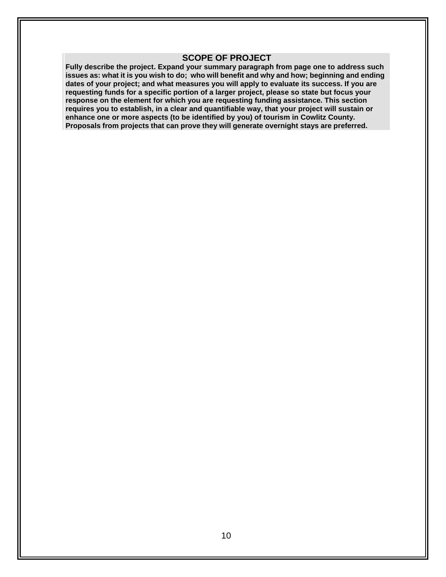#### **SCOPE OF PROJECT**

**Fully describe the project. Expand your summary paragraph from page one to address such**  issues as: what it is you wish to do; who will benefit and why and how; beginning and ending **dates of your project; and what measures you will apply to evaluate its success. If you are requesting funds for a specific portion of a larger project, please so state but focus your response on the element for which you are requesting funding assistance. This section requires you to establish, in a clear and quantifiable way, that your project will sustain or enhance one or more aspects (to be identified by you) of tourism in Cowlitz County. Proposals from projects that can prove they will generate overnight stays are preferred.**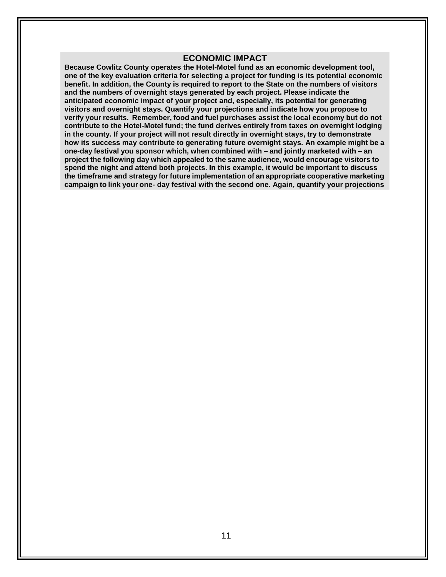#### **ECONOMIC IMPACT**

**Because Cowlitz County operates the Hotel-Motel fund as an economic development tool, one of the key evaluation criteria for selecting a project for funding is its potential economic benefit. In addition, the County is required to report to the State on the numbers of visitors and the numbers of overnight stays generated by each project. Please indicate the anticipated economic impact of your project and, especially, its potential for generating visitors and overnight stays. Quantify your projections and indicate how you propose to verify your results. Remember, food and fuel purchases assist the local economy but do not contribute to the Hotel-Motel fund; the fund derives entirely from taxes on overnight lodging in the county. If your project will not result directly in overnight stays, try to demonstrate how its success may contribute to generating future overnight stays. An example might be a one-day festival you sponsor which, when combined with – and jointly marketed with – an project the following day which appealed to the same audience, would encourage visitors to spend the night and attend both projects. In this example, it would be important to discuss the timeframe and strategy for future implementation of an appropriate cooperative marketing campaign to link your one- day festival with the second one. Again, quantify your projections**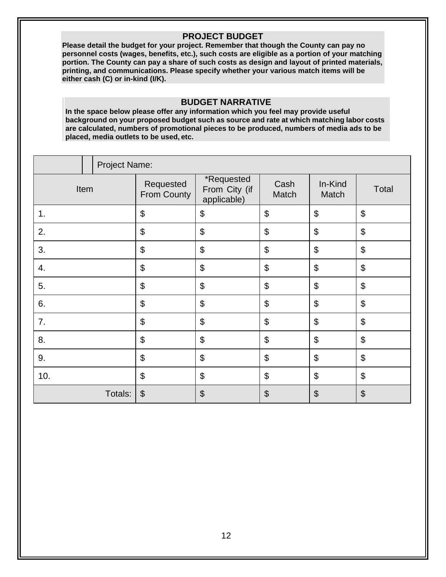#### **PROJECT BUDGET**

**Please detail the budget for your project. Remember that though the County can pay no personnel costs (wages, benefits, etc.), such costs are eligible as a portion of your matching portion. The County can pay a share of such costs as design and layout of printed materials, printing, and communications. Please specify whether your various match items will be either cash (C) or in-kind (I/K).**

#### **BUDGET NARRATIVE**

**In the space below please offer any information which you feel may provide useful background on your proposed budget such as source and rate at which matching labor costs are calculated, numbers of promotional pieces to be produced, numbers of media ads to be placed, media outlets to be used, etc.**

|      |  | Project Name:              |                                            |                           |                            |                            |                       |
|------|--|----------------------------|--------------------------------------------|---------------------------|----------------------------|----------------------------|-----------------------|
| Item |  | Requested<br>From County   | *Requested<br>From City (if<br>applicable) | Cash<br>Match             | In-Kind<br>Match           | Total                      |                       |
| 1.   |  | $\boldsymbol{\mathsf{\$}}$ | \$                                         | \$                        | \$                         | \$                         |                       |
| 2.   |  | \$                         | \$                                         | \$                        | $\boldsymbol{\mathsf{S}}$  | \$                         |                       |
| 3.   |  |                            | \$                                         | $\boldsymbol{\mathsf{S}}$ | $\boldsymbol{\mathsf{\$}}$ | $\boldsymbol{\mathsf{S}}$  | \$                    |
| 4.   |  |                            | \$                                         | \$                        | \$                         | $\boldsymbol{\mathsf{\$}}$ | \$                    |
| 5.   |  |                            | \$                                         | \$                        | \$                         | \$                         | \$                    |
| 6.   |  |                            | $\boldsymbol{\mathsf{S}}$                  | $\boldsymbol{\mathsf{S}}$ | \$                         | $\boldsymbol{\mathsf{S}}$  | \$                    |
| 7.   |  |                            | \$                                         | $\boldsymbol{\mathsf{S}}$ | \$                         | $\boldsymbol{\mathsf{S}}$  | \$                    |
| 8.   |  | \$                         | \$                                         | \$                        | \$                         | \$                         |                       |
| 9.   |  | \$                         | \$                                         | \$                        | \$                         | \$                         |                       |
| 10.  |  | \$                         | \$                                         | \$                        | \$                         | \$                         |                       |
|      |  | Totals:                    | $\boldsymbol{\theta}$                      | $\boldsymbol{\theta}$     | \$                         | $\boldsymbol{\theta}$      | $\boldsymbol{\theta}$ |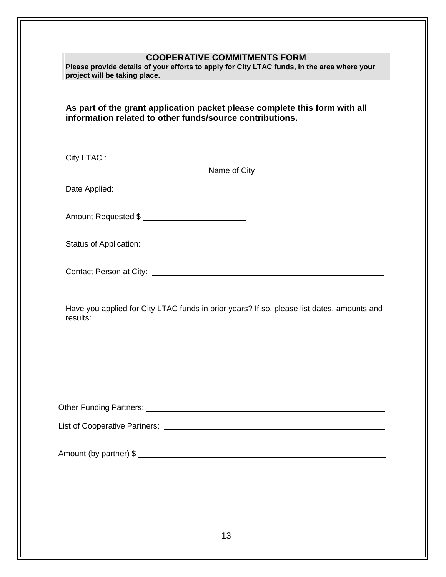#### **COOPERATIVE COMMITMENTS FORM**

**Please provide details of your efforts to apply for City LTAC funds, in the area where your project will be taking place.**

**As part of the grant application packet please complete this form with all information related to other funds/source contributions.**

City LTAC : <u>the contract of the contract of the contract of the contract of the contract of the contract of the contract of the contract of the contract of the contract of the contract of the contract of the contract of t</u>

Name of City

Date Applied:

Amount Requested \$

Status of Application: <u>Contract of Application</u> Contract of Application: Contract of Application:

Contact Person at City: <u>contact Person</u> at City:

Have you applied for City LTAC funds in prior years? If so, please list dates, amounts and results:

Other Funding Partners:

List of Cooperative Partners:

Amount (by partner) \$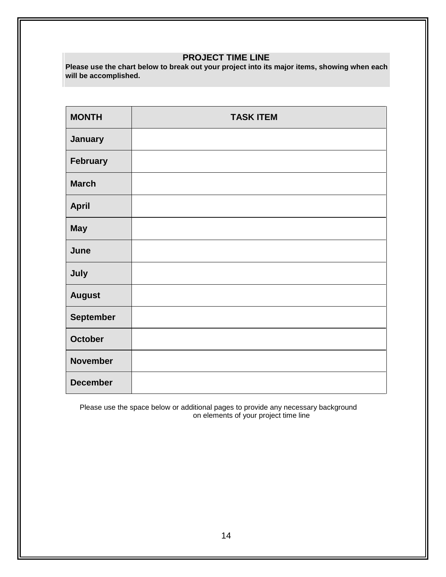#### **PROJECT TIME LINE**

**Please use the chart below to break out your project into its major items, showing when each will be accomplished.**

| <b>MONTH</b>     | <b>TASK ITEM</b> |
|------------------|------------------|
| January          |                  |
| February         |                  |
| <b>March</b>     |                  |
| <b>April</b>     |                  |
| <b>May</b>       |                  |
| June             |                  |
| July             |                  |
| <b>August</b>    |                  |
| <b>September</b> |                  |
| <b>October</b>   |                  |
| <b>November</b>  |                  |
| <b>December</b>  |                  |

Please use the space below or additional pages to provide any necessary background on elements of your project time line